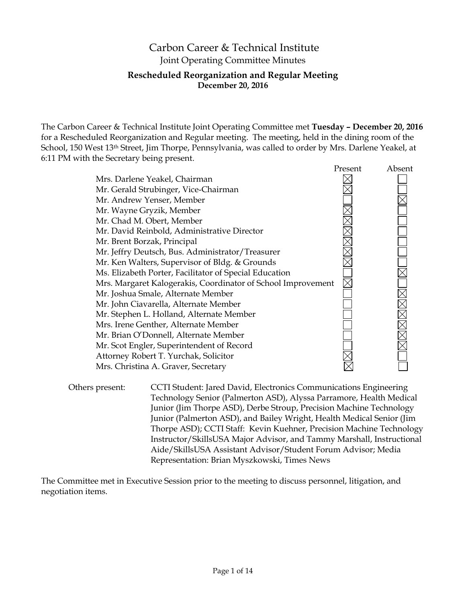# Carbon Career & Technical Institute Joint Operating Committee Minutes **Rescheduled Reorganization and Regular Meeting December 20, 2016**

The Carbon Career & Technical Institute Joint Operating Committee met **Tuesday – December 20, 2016** for a Rescheduled Reorganization and Regular meeting. The meeting, held in the dining room of the School, 150 West 13<sup>th</sup> Street, Jim Thorpe, Pennsylvania, was called to order by Mrs. Darlene Yeakel, at 6:11 PM with the Secretary being present.

|                                                              | Present | Absent |
|--------------------------------------------------------------|---------|--------|
| Mrs. Darlene Yeakel, Chairman                                |         |        |
| Mr. Gerald Strubinger, Vice-Chairman                         |         |        |
| Mr. Andrew Yenser, Member                                    |         |        |
| Mr. Wayne Gryzik, Member                                     |         |        |
| Mr. Chad M. Obert, Member                                    |         |        |
| Mr. David Reinbold, Administrative Director                  |         |        |
| Mr. Brent Borzak, Principal                                  |         |        |
| Mr. Jeffry Deutsch, Bus. Administrator/Treasurer             |         |        |
| Mr. Ken Walters, Supervisor of Bldg. & Grounds               |         |        |
| Ms. Elizabeth Porter, Facilitator of Special Education       |         |        |
| Mrs. Margaret Kalogerakis, Coordinator of School Improvement |         |        |
| Mr. Joshua Smale, Alternate Member                           |         |        |
| Mr. John Ciavarella, Alternate Member                        |         |        |
| Mr. Stephen L. Holland, Alternate Member                     |         |        |
| Mrs. Irene Genther, Alternate Member                         |         |        |
| Mr. Brian O'Donnell, Alternate Member                        |         |        |
| Mr. Scot Engler, Superintendent of Record                    |         |        |
| Attorney Robert T. Yurchak, Solicitor                        |         |        |
| Mrs. Christina A. Graver, Secretary                          |         |        |

Others present: CCTI Student: Jared David, Electronics Communications Engineering Technology Senior (Palmerton ASD), Alyssa Parramore, Health Medical Junior (Jim Thorpe ASD), Derbe Stroup, Precision Machine Technology Junior (Palmerton ASD), and Bailey Wright, Health Medical Senior (Jim Thorpe ASD); CCTI Staff: Kevin Kuehner, Precision Machine Technology Instructor/SkillsUSA Major Advisor, and Tammy Marshall, Instructional Aide/SkillsUSA Assistant Advisor/Student Forum Advisor; Media Representation: Brian Myszkowski, Times News

The Committee met in Executive Session prior to the meeting to discuss personnel, litigation, and negotiation items.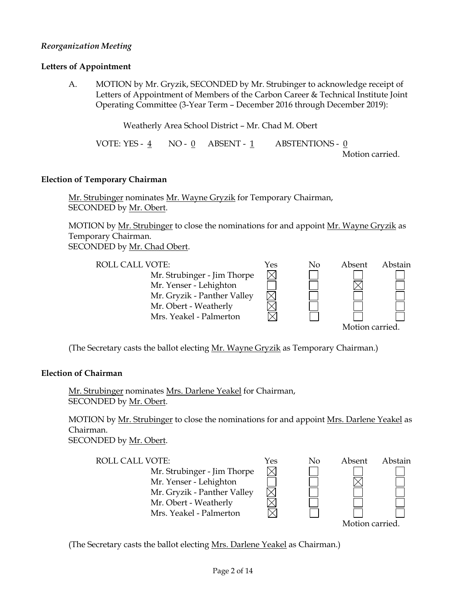## *Reorganization Meeting*

#### **Letters of Appointment**

A. MOTION by Mr. Gryzik, SECONDED by Mr. Strubinger to acknowledge receipt of Letters of Appointment of Members of the Carbon Career & Technical Institute Joint Operating Committee (3-Year Term – December 2016 through December 2019):

Weatherly Area School District – Mr. Chad M. Obert

VOTE: YES - 4 NO - 0 ABSENT - 1 ABSTENTIONS - 0 Motion carried.

#### **Election of Temporary Chairman**

Mr. Strubinger nominates Mr. Wayne Gryzik for Temporary Chairman, SECONDED by Mr. Obert.

MOTION by Mr. Strubinger to close the nominations for and appoint Mr. Wayne Gryzik as Temporary Chairman. SECONDED by Mr. Chad Obert.

| <b>ROLL CALL VOTE:</b>      | Yes | No | Absent          | Abstain |
|-----------------------------|-----|----|-----------------|---------|
| Mr. Strubinger - Jim Thorpe |     |    |                 |         |
| Mr. Yenser - Lehighton      |     |    |                 |         |
| Mr. Gryzik - Panther Valley |     |    |                 |         |
| Mr. Obert - Weatherly       |     |    |                 |         |
| Mrs. Yeakel - Palmerton     |     |    |                 |         |
|                             |     |    | Motion carried. |         |

(The Secretary casts the ballot electing Mr. Wayne Gryzik as Temporary Chairman.)

## **Election of Chairman**

Mr. Strubinger nominates Mrs. Darlene Yeakel for Chairman, SECONDED by Mr. Obert.

MOTION by Mr. Strubinger to close the nominations for and appoint Mrs. Darlene Yeakel as Chairman. SECONDED by Mr. Obert.

ROLL CALL VOTE:  $Y$ es No Absent Abstain Mr. Strubinger - Jim Thorpe Mr. Yenser - Lehighton Mr. Gryzik - Panther Valley Mr. Obert - Weatherly Mrs. Yeakel - Palmerton Motion carried.

(The Secretary casts the ballot electing Mrs. Darlene Yeakel as Chairman.)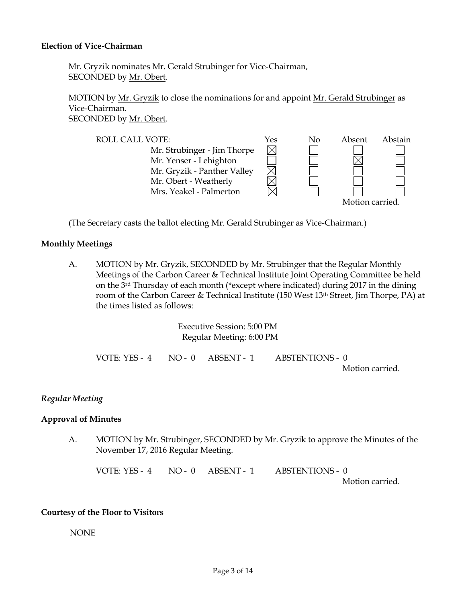#### **Election of Vice-Chairman**

Mr. Gryzik nominates Mr. Gerald Strubinger for Vice-Chairman, SECONDED by Mr. Obert.

MOTION by <u>Mr. Gryzik</u> to close the nominations for and appoint Mr. Gerald Strubinger as Vice-Chairman. SECONDED by Mr. Obert.

ROLL CALL VOTE:  $Y$ es No Absent Abstain Mr. Strubinger - Jim Thorpe  $\boxtimes$ Mr. Yenser - Lehighton  $\boxtimes$ Mr. Gryzik - Panther Valley Mr. Obert - Weatherly Mrs. Yeakel - Palmerton Motion carried.

(The Secretary casts the ballot electing Mr. Gerald Strubinger as Vice-Chairman.)

### **Monthly Meetings**

A. MOTION by Mr. Gryzik, SECONDED by Mr. Strubinger that the Regular Monthly Meetings of the Carbon Career & Technical Institute Joint Operating Committee be held on the 3rd Thursday of each month (\*except where indicated) during 2017 in the dining room of the Carbon Career & Technical Institute (150 West 13<sup>th</sup> Street, Jim Thorpe, PA) at the times listed as follows:

> Executive Session: 5:00 PM Regular Meeting: 6:00 PM

VOTE: YES -  $\underline{4}$  NO -  $\underline{0}$  ABSENT -  $\underline{1}$  ABSTENTIONS -  $\underline{0}$ Motion carried.

#### *Regular Meeting*

#### **Approval of Minutes**

A. MOTION by Mr. Strubinger, SECONDED by Mr. Gryzik to approve the Minutes of the November 17, 2016 Regular Meeting.

VOTE: YES -  $\underline{4}$  NO -  $\underline{0}$  ABSENT -  $\underline{1}$  ABSTENTIONS -  $\underline{0}$ Motion carried.

#### **Courtesy of the Floor to Visitors**

NONE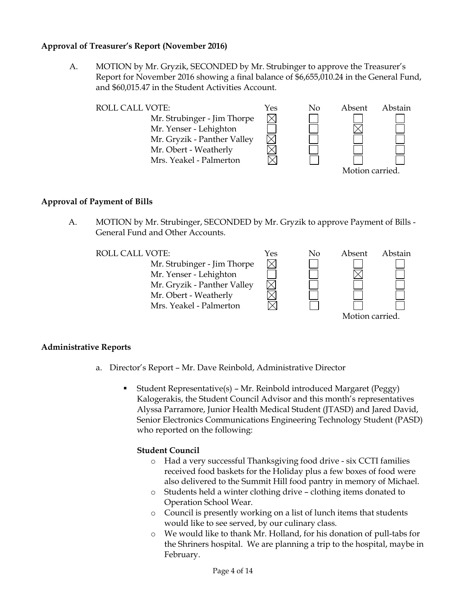## **Approval of Treasurer's Report (November 2016)**

A. MOTION by Mr. Gryzik, SECONDED by Mr. Strubinger to approve the Treasurer's Report for November 2016 showing a final balance of \$6,655,010.24 in the General Fund, and \$60,015.47 in the Student Activities Account.

| <b>ROLL CALL VOTE:</b>      | Yes | No | Absent          | Abstain |
|-----------------------------|-----|----|-----------------|---------|
| Mr. Strubinger - Jim Thorpe |     |    |                 |         |
| Mr. Yenser - Lehighton      |     |    |                 |         |
| Mr. Gryzik - Panther Valley |     |    |                 |         |
| Mr. Obert - Weatherly       |     |    |                 |         |
| Mrs. Yeakel - Palmerton     |     |    |                 |         |
|                             |     |    | Motion carried. |         |

## **Approval of Payment of Bills**

A. MOTION by Mr. Strubinger, SECONDED by Mr. Gryzik to approve Payment of Bills - General Fund and Other Accounts.

Mr. Strubinger - Jim Thorpe Mr. Yenser - Lehighton Mr. Gryzik - Panther Valley Mr. Obert - Weatherly Mrs. Yeakel - Palmerton



## **Administrative Reports**

- a. Director's Report Mr. Dave Reinbold, Administrative Director
	- Student Representative(s) Mr. Reinbold introduced Margaret (Peggy) Kalogerakis, the Student Council Advisor and this month's representatives Alyssa Parramore, Junior Health Medical Student (JTASD) and Jared David, Senior Electronics Communications Engineering Technology Student (PASD) who reported on the following:

 $\boxtimes$ 

## **Student Council**

- o Had a very successful Thanksgiving food drive six CCTI families received food baskets for the Holiday plus a few boxes of food were also delivered to the Summit Hill food pantry in memory of Michael.
- o Students held a winter clothing drive clothing items donated to Operation School Wear.
- o Council is presently working on a list of lunch items that students would like to see served, by our culinary class.
- o We would like to thank Mr. Holland, for his donation of pull-tabs for the Shriners hospital. We are planning a trip to the hospital, maybe in February.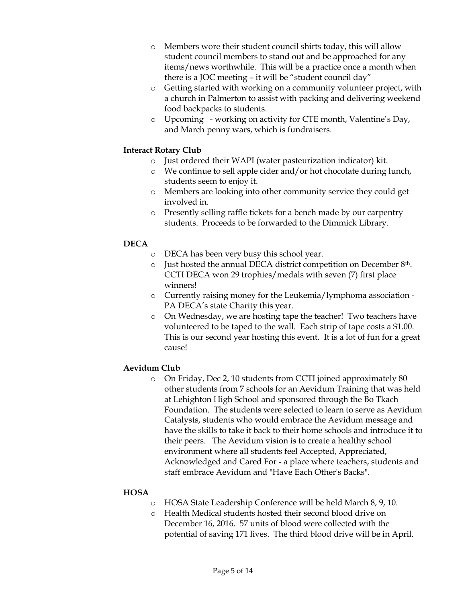- o Members wore their student council shirts today, this will allow student council members to stand out and be approached for any items/news worthwhile. This will be a practice once a month when there is a JOC meeting – it will be "student council day"
- o Getting started with working on a community volunteer project, with a church in Palmerton to assist with packing and delivering weekend food backpacks to students.
- o Upcoming working on activity for CTE month, Valentine's Day, and March penny wars, which is fundraisers.

## **Interact Rotary Club**

- o Just ordered their WAPI (water pasteurization indicator) kit.
- o We continue to sell apple cider and/or hot chocolate during lunch, students seem to enjoy it.
- o Members are looking into other community service they could get involved in.
- o Presently selling raffle tickets for a bench made by our carpentry students. Proceeds to be forwarded to the Dimmick Library.

## **DECA**

- o DECA has been very busy this school year.
- o Just hosted the annual DECA district competition on December 8th. CCTI DECA won 29 trophies/medals with seven (7) first place winners!
- o Currently raising money for the Leukemia/lymphoma association PA DECA's state Charity this year.
- o On Wednesday, we are hosting tape the teacher! Two teachers have volunteered to be taped to the wall. Each strip of tape costs a \$1.00. This is our second year hosting this event. It is a lot of fun for a great cause!

## **Aevidum Club**

o On Friday, Dec 2, 10 students from CCTI joined approximately 80 other students from 7 schools for an Aevidum Training that was held at Lehighton High School and sponsored through the Bo Tkach Foundation. The students were selected to learn to serve as Aevidum Catalysts, students who would embrace the Aevidum message and have the skills to take it back to their home schools and introduce it to their peers. The Aevidum vision is to create a healthy school environment where all students feel Accepted, Appreciated, Acknowledged and Cared For - a place where teachers, students and staff embrace Aevidum and "Have Each Other's Backs".

## **HOSA**

- o HOSA State Leadership Conference will be held March 8, 9, 10.
- o Health Medical students hosted their second blood drive on December 16, 2016. 57 units of blood were collected with the potential of saving 171 lives. The third blood drive will be in April.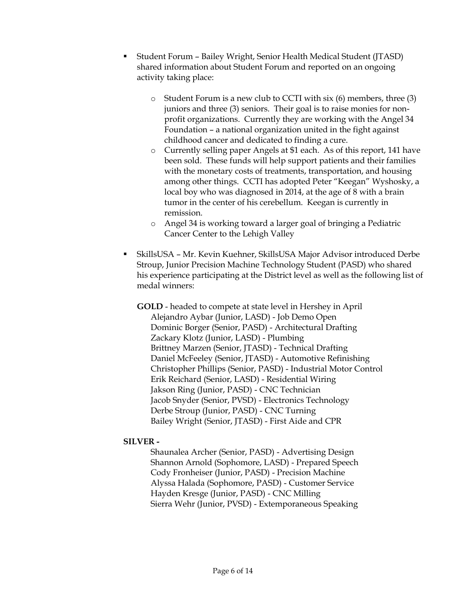- Student Forum Bailey Wright, Senior Health Medical Student (JTASD) shared information about Student Forum and reported on an ongoing activity taking place:
	- $\circ$  Student Forum is a new club to CCTI with six (6) members, three (3) juniors and three (3) seniors. Their goal is to raise monies for nonprofit organizations. Currently they are working with the Angel 34 Foundation – a national organization united in the fight against childhood cancer and dedicated to finding a cure.
	- o Currently selling paper Angels at \$1 each. As of this report, 141 have been sold. These funds will help support patients and their families with the monetary costs of treatments, transportation, and housing among other things. CCTI has adopted Peter "Keegan" Wyshosky, a local boy who was diagnosed in 2014, at the age of 8 with a brain tumor in the center of his cerebellum. Keegan is currently in remission.
	- o Angel 34 is working toward a larger goal of bringing a Pediatric Cancer Center to the Lehigh Valley
- SkillsUSA Mr. Kevin Kuehner, SkillsUSA Major Advisor introduced Derbe Stroup, Junior Precision Machine Technology Student (PASD) who shared his experience participating at the District level as well as the following list of medal winners:

**GOLD** - headed to compete at state level in Hershey in April Alejandro Aybar (Junior, LASD) - Job Demo Open Dominic Borger (Senior, PASD) - Architectural Drafting Zackary Klotz (Junior, LASD) - Plumbing Brittney Marzen (Senior, JTASD) - Technical Drafting Daniel McFeeley (Senior, JTASD) - Automotive Refinishing Christopher Phillips (Senior, PASD) - Industrial Motor Control Erik Reichard (Senior, LASD) - Residential Wiring Jakson Ring (Junior, PASD) - CNC Technician Jacob Snyder (Senior, PVSD) - Electronics Technology Derbe Stroup (Junior, PASD) - CNC Turning Bailey Wright (Senior, JTASD) - First Aide and CPR

## **SILVER -**

Shaunalea Archer (Senior, PASD) - Advertising Design Shannon Arnold (Sophomore, LASD) - Prepared Speech Cody Fronheiser (Junior, PASD) - Precision Machine Alyssa Halada (Sophomore, PASD) - Customer Service Hayden Kresge (Junior, PASD) - CNC Milling Sierra Wehr (Junior, PVSD) - Extemporaneous Speaking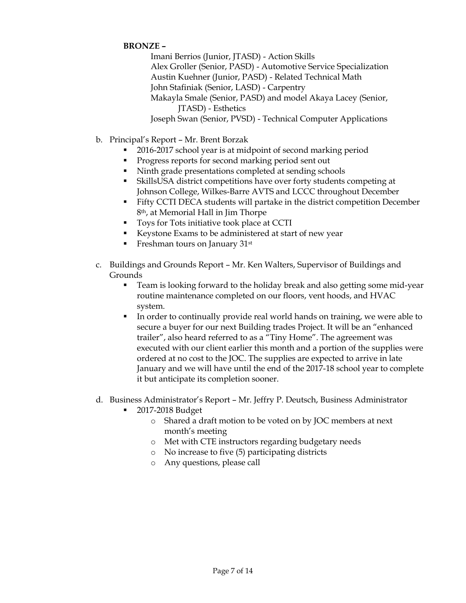## **BRONZE –**

Imani Berrios (Junior, JTASD) - Action Skills Alex Groller (Senior, PASD) - Automotive Service Specialization Austin Kuehner (Junior, PASD) - Related Technical Math John Stafiniak (Senior, LASD) - Carpentry Makayla Smale (Senior, PASD) and model Akaya Lacey (Senior, JTASD) - Esthetics Joseph Swan (Senior, PVSD) - Technical Computer Applications

- b. Principal's Report Mr. Brent Borzak
	- 2016-2017 school year is at midpoint of second marking period
	- Progress reports for second marking period sent out
	- Ninth grade presentations completed at sending schools
	- SkillsUSA district competitions have over forty students competing at Johnson College, Wilkes-Barre AVTS and LCCC throughout December
	- Fifty CCTI DECA students will partake in the district competition December 8th, at Memorial Hall in Jim Thorpe
	- Toys for Tots initiative took place at CCTI
	- Keystone Exams to be administered at start of new year
	- Freshman tours on January 31<sup>st</sup>
- c. Buildings and Grounds Report Mr. Ken Walters, Supervisor of Buildings and Grounds
	- Team is looking forward to the holiday break and also getting some mid-year routine maintenance completed on our floors, vent hoods, and HVAC system.
	- In order to continually provide real world hands on training, we were able to secure a buyer for our next Building trades Project. It will be an "enhanced trailer", also heard referred to as a "Tiny Home". The agreement was executed with our client earlier this month and a portion of the supplies were ordered at no cost to the JOC. The supplies are expected to arrive in late January and we will have until the end of the 2017-18 school year to complete it but anticipate its completion sooner.
- d. Business Administrator's Report Mr. Jeffry P. Deutsch, Business Administrator
	- 2017-2018 Budget
		- o Shared a draft motion to be voted on by JOC members at next month's meeting
		- o Met with CTE instructors regarding budgetary needs
		- o No increase to five (5) participating districts
		- o Any questions, please call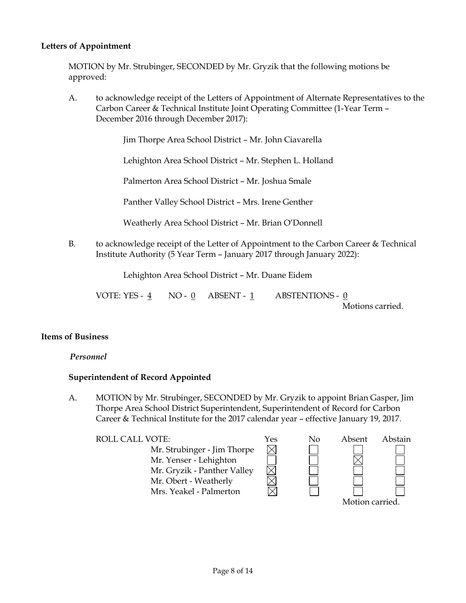## **Letters of Appointment**

MOTION by Mr. Strubinger, SECONDED by Mr. Gryzik that the following motions be approved:

A. to acknowledge receipt of the Letters of Appointment of Alternate Representatives to the Carbon Career & Technical Institute Joint Operating Committee (1-Year Term – December 2016 through December 2017):

Jim Thorpe Area School District – Mr. John Ciavarella

Lehighton Area School District – Mr. Stephen L. Holland

Palmerton Area School District – Mr. Joshua Smale

Panther Valley School District – Mrs. Irene Genther

Weatherly Area School District – Mr. Brian O'Donnell

B. to acknowledge receipt of the Letter of Appointment to the Carbon Career & Technical Institute Authority (5 Year Term – January 2017 through January 2022):

Lehighton Area School District – Mr. Duane Eidem

VOTE: YES -  $\underline{4}$  NO -  $\underline{0}$  ABSENT -  $\underline{1}$  ABSTENTIONS -  $\underline{0}$ Motions carried.

#### **Items of Business**

## *Personnel*

#### **Superintendent of Record Appointed**

A. MOTION by Mr. Strubinger, SECONDED by Mr. Gryzik to appoint Brian Gasper, Jim Thorpe Area School District Superintendent, Superintendent of Record for Carbon Career & Technical Institute for the 2017 calendar year – effective January 19, 2017.

ROLL CALL VOTE:  $Y$ es No Absent Abstain Mr. Strubinger - Jim Thorpe  $\boxtimes$ Mr. Yenser - Lehighton Mr. Gryzik - Panther Valley Mr. Obert - Weatherly Mrs. Yeakel - Palmerton Motion carried.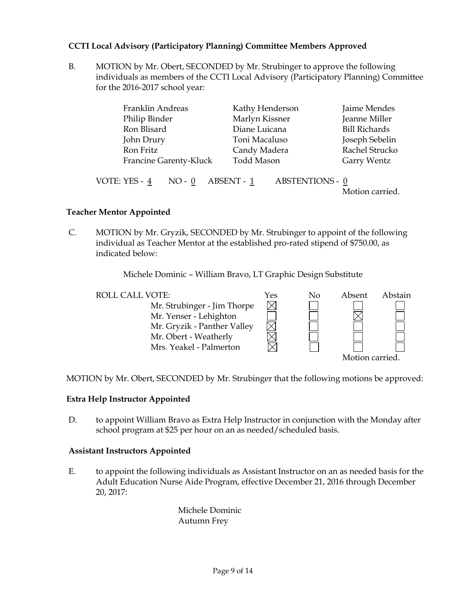## **CCTI Local Advisory (Participatory Planning) Committee Members Approved**

B. MOTION by Mr. Obert, SECONDED by Mr. Strubinger to approve the following individuals as members of the CCTI Local Advisory (Participatory Planning) Committee for the 2016-2017 school year:

| Franklin Andreas              |          |            | Kathy Henderson   |                        | Jaime Mendes         |
|-------------------------------|----------|------------|-------------------|------------------------|----------------------|
| Philip Binder                 |          |            | Marlyn Kissner    |                        | Jeanne Miller        |
| Ron Blisard                   |          |            | Diane Luicana     |                        | <b>Bill Richards</b> |
| John Drury                    |          |            | Toni Macaluso     |                        | Joseph Sebelin       |
| Ron Fritz                     |          |            | Candy Madera      |                        | Rachel Strucko       |
| <b>Francine Garenty-Kluck</b> |          |            | <b>Todd Mason</b> |                        | Garry Wentz          |
| VOTE: YES - 4                 | $NO - 0$ | ABSENT - 1 |                   | <b>ABSTENTIONS - 0</b> | Motion carried.      |

### **Teacher Mentor Appointed**

C. MOTION by Mr. Gryzik, SECONDED by Mr. Strubinger to appoint of the following individual as Teacher Mentor at the established pro-rated stipend of \$750.00, as indicated below:

Michele Dominic – William Bravo, LT Graphic Design Substitute



MOTION by Mr. Obert, SECONDED by Mr. Strubinger that the following motions be approved:

#### **Extra Help Instructor Appointed**

D. to appoint William Bravo as Extra Help Instructor in conjunction with the Monday after school program at \$25 per hour on an as needed/scheduled basis.

#### **Assistant Instructors Appointed**

E. to appoint the following individuals as Assistant Instructor on an as needed basis for the Adult Education Nurse Aide Program, effective December 21, 2016 through December 20, 2017:

> Michele Dominic Autumn Frey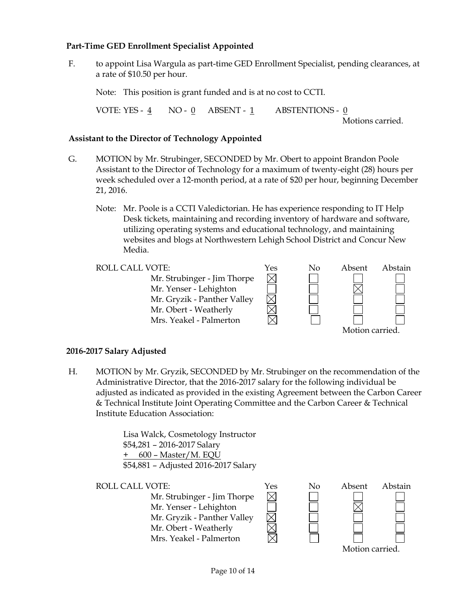## **Part-Time GED Enrollment Specialist Appointed**

F. to appoint Lisa Wargula as part-time GED Enrollment Specialist, pending clearances, at a rate of \$10.50 per hour.

Note: This position is grant funded and is at no cost to CCTI.

VOTE: YES - 4 NO - 0 ABSENT - 1 ABSTENTIONS - 0

Motions carried.

## **Assistant to the Director of Technology Appointed**

- G. MOTION by Mr. Strubinger, SECONDED by Mr. Obert to appoint Brandon Poole Assistant to the Director of Technology for a maximum of twenty-eight (28) hours per week scheduled over a 12-month period, at a rate of \$20 per hour, beginning December 21, 2016.
	- Note: Mr. Poole is a CCTI Valedictorian. He has experience responding to IT Help Desk tickets, maintaining and recording inventory of hardware and software, utilizing operating systems and educational technology, and maintaining websites and blogs at Northwestern Lehigh School District and Concur New Media.

Mr. Strubinger - Jim Thorpe Mr. Yenser - Lehighton Mr. Gryzik - Panther Valley Mr. Obert - Weatherly Mrs. Yeakel - Palmerton



## **2016-2017 Salary Adjusted**

H. MOTION by Mr. Gryzik, SECONDED by Mr. Strubinger on the recommendation of the Administrative Director, that the 2016-2017 salary for the following individual be adjusted as indicated as provided in the existing Agreement between the Carbon Career & Technical Institute Joint Operating Committee and the Carbon Career & Technical Institute Education Association:

> Lisa Walck, Cosmetology Instructor \$54,281 – 2016-2017 Salary + 600 – Master/M. EQU \$54,881 – Adjusted 2016-2017 Salary

Mr. Strubinger - Jim Thorpe Mr. Yenser - Lehighton Mr. Gryzik - Panther Valley Mr. Obert - Weatherly Mrs. Yeakel - Palmerton



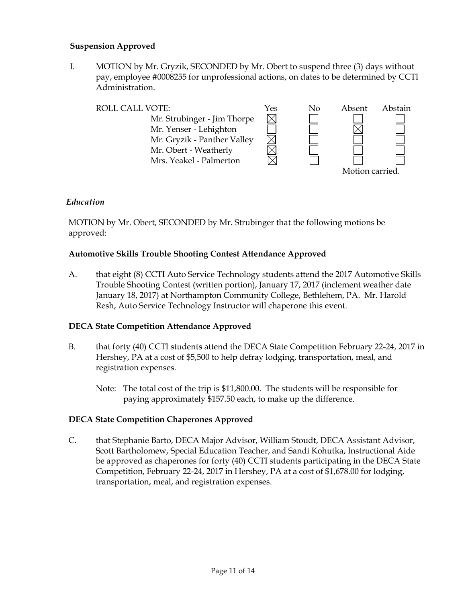## **Suspension Approved**

I. MOTION by Mr. Gryzik, SECONDED by Mr. Obert to suspend three (3) days without pay, employee #0008255 for unprofessional actions, on dates to be determined by CCTI Administration.

| <b>ROLL CALL VOTE:</b>      | Yes | No | Absent         | Abstain |
|-----------------------------|-----|----|----------------|---------|
| Mr. Strubinger - Jim Thorpe |     |    |                |         |
| Mr. Yenser - Lehighton      |     |    |                |         |
| Mr. Gryzik - Panther Valley |     |    |                |         |
| Mr. Obert - Weatherly       |     |    |                |         |
| Mrs. Yeakel - Palmerton     |     |    |                |         |
|                             |     |    | Motion carried |         |

## *Education*

MOTION by Mr. Obert, SECONDED by Mr. Strubinger that the following motions be approved:

## **Automotive Skills Trouble Shooting Contest Attendance Approved**

A. that eight (8) CCTI Auto Service Technology students attend the 2017 Automotive Skills Trouble Shooting Contest (written portion), January 17, 2017 (inclement weather date January 18, 2017) at Northampton Community College, Bethlehem, PA. Mr. Harold Resh, Auto Service Technology Instructor will chaperone this event.

## **DECA State Competition Attendance Approved**

- B. that forty (40) CCTI students attend the DECA State Competition February 22-24, 2017 in Hershey, PA at a cost of \$5,500 to help defray lodging, transportation, meal, and registration expenses.
	- Note: The total cost of the trip is \$11,800.00. The students will be responsible for paying approximately \$157.50 each, to make up the difference.

## **DECA State Competition Chaperones Approved**

C. that Stephanie Barto, DECA Major Advisor, William Stoudt, DECA Assistant Advisor, Scott Bartholomew, Special Education Teacher, and Sandi Kohutka, Instructional Aide be approved as chaperones for forty (40) CCTI students participating in the DECA State Competition, February 22-24, 2017 in Hershey, PA at a cost of \$1,678.00 for lodging, transportation, meal, and registration expenses.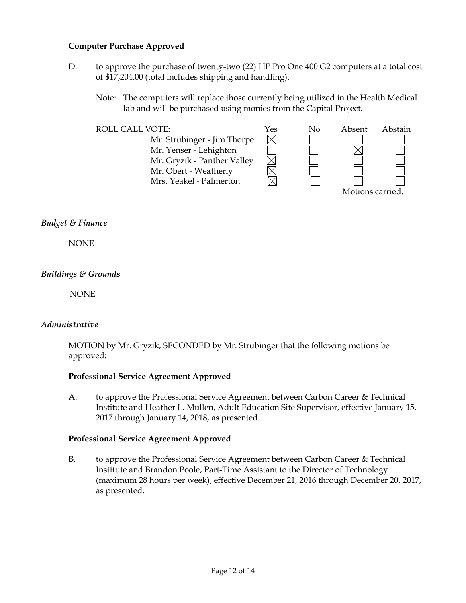## **Computer Purchase Approved**

- D. to approve the purchase of twenty-two (22) HP Pro One 400 G2 computers at a total cost of \$17,204.00 (total includes shipping and handling).
	- Note: The computers will replace those currently being utilized in the Health Medical lab and will be purchased using monies from the Capital Project.



#### *Budget & Finance*

**NONE** 

## *Buildings & Grounds*

NONE

## *Administrative*

MOTION by Mr. Gryzik, SECONDED by Mr. Strubinger that the following motions be approved:

#### **Professional Service Agreement Approved**

A. to approve the Professional Service Agreement between Carbon Career & Technical Institute and Heather L. Mullen, Adult Education Site Supervisor, effective January 15, 2017 through January 14, 2018, as presented.

#### **Professional Service Agreement Approved**

B. to approve the Professional Service Agreement between Carbon Career & Technical Institute and Brandon Poole, Part-Time Assistant to the Director of Technology (maximum 28 hours per week), effective December 21, 2016 through December 20, 2017, as presented.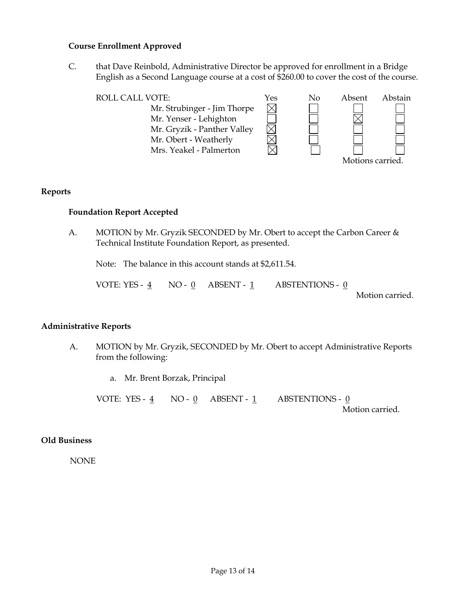### **Course Enrollment Approved**

C. that Dave Reinbold, Administrative Director be approved for enrollment in a Bridge English as a Second Language course at a cost of \$260.00 to cover the cost of the course.

| <b>ROLL CALL VOTE:</b>      | Yes | No | Absent           | Abstain |
|-----------------------------|-----|----|------------------|---------|
| Mr. Strubinger - Jim Thorpe |     |    |                  |         |
| Mr. Yenser - Lehighton      |     |    |                  |         |
| Mr. Gryzik - Panther Valley |     |    |                  |         |
| Mr. Obert - Weatherly       |     |    |                  |         |
| Mrs. Yeakel - Palmerton     |     |    |                  |         |
|                             |     |    | Motions carried. |         |

### **Reports**

### **Foundation Report Accepted**

A. MOTION by Mr. Gryzik SECONDED by Mr. Obert to accept the Carbon Career & Technical Institute Foundation Report, as presented.

Note: The balance in this account stands at \$2,611.54.

VOTE: YES -  $\underline{4}$  NO -  $\underline{0}$  ABSENT -  $\underline{1}$  ABSTENTIONS -  $\underline{0}$ 

Motion carried.

#### **Administrative Reports**

- A. MOTION by Mr. Gryzik, SECONDED by Mr. Obert to accept Administrative Reports from the following:
	- a. Mr. Brent Borzak, Principal

VOTE: YES - 4 NO - 0 ABSENT - 1 ABSTENTIONS - 0

Motion carried.

## **Old Business**

NONE